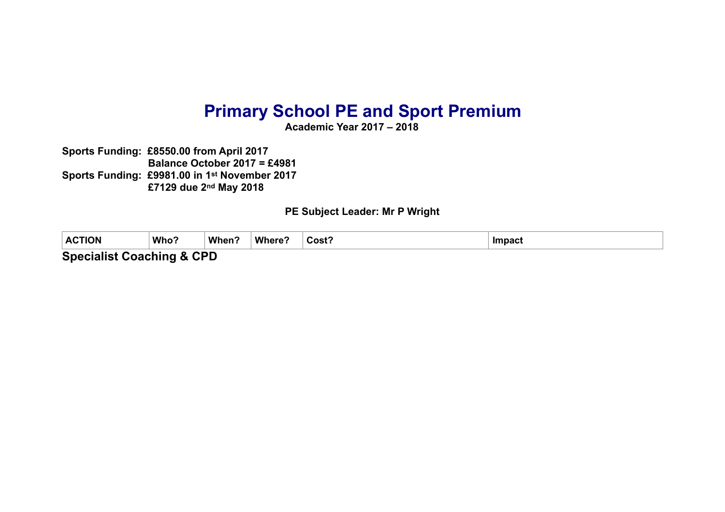## **Primary School PE and Sport Premium**

**Academic Year 2017 – 2018** 

**Sports Funding: £8550.00 from April 2017 Balance October 2017 = £4981 Sports Funding: £9981.00 in 1st November 2017 £7129 due 2nd May 2018** 

**PE Subject Leader: Mr P Wright** 

| <b>ACTION</b>             | Who? | When? | Where? | Cost? | <b>Impact</b> |  |
|---------------------------|------|-------|--------|-------|---------------|--|
| Considered Considered CDD |      |       |        |       |               |  |

**Specialist Coaching & CPD**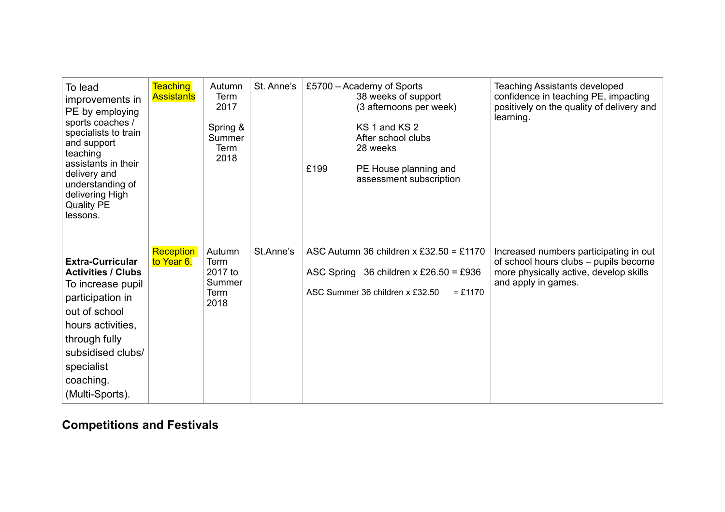| To lead<br>improvements in<br>PE by employing<br>sports coaches /<br>specialists to train<br>and support<br>teaching<br>assistants in their<br>delivery and<br>understanding of<br>delivering High<br><b>Quality PE</b><br>lessons. | <b>Teaching</b><br><b>Assistants</b> | Autumn<br>Term<br>2017<br>Spring &<br>Summer<br><b>Term</b><br>2018 | St. Anne's | £199 | £5700 - Academy of Sports<br>38 weeks of support<br>(3 afternoons per week)<br>KS 1 and KS 2<br>After school clubs<br>28 weeks<br>PE House planning and<br>assessment subscription | <b>Teaching Assistants developed</b><br>confidence in teaching PE, impacting<br>positively on the quality of delivery and<br>learning.           |
|-------------------------------------------------------------------------------------------------------------------------------------------------------------------------------------------------------------------------------------|--------------------------------------|---------------------------------------------------------------------|------------|------|------------------------------------------------------------------------------------------------------------------------------------------------------------------------------------|--------------------------------------------------------------------------------------------------------------------------------------------------|
| <b>Extra-Curricular</b><br><b>Activities / Clubs</b><br>To increase pupil<br>participation in<br>out of school<br>hours activities,<br>through fully<br>subsidised clubs/<br>specialist<br>coaching.<br>(Multi-Sports).             | <b>Reception</b><br>to Year 6.       | Autumn<br>Term<br>2017 to<br>Summer<br>Term<br>2018                 | St.Anne's  |      | ASC Autumn 36 children x £32.50 = £1170<br>ASC Spring 36 children x £26.50 = £936<br>ASC Summer 36 children x £32.50<br>$= £1170$                                                  | Increased numbers participating in out<br>of school hours clubs - pupils become<br>more physically active, develop skills<br>and apply in games. |

## **Competitions and Festivals**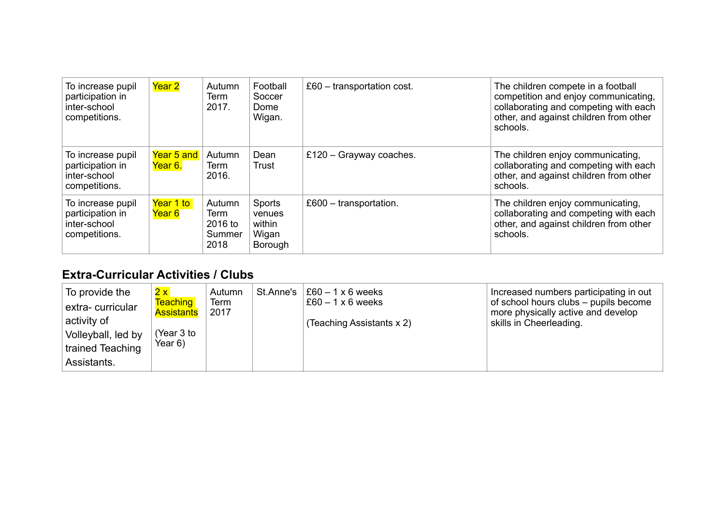| To increase pupil<br>participation in<br>inter-school<br>competitions. | Year 2                | Autumn<br>Term<br>2017.                     | Football<br>Soccer<br>Dome<br>Wigan.           | $£60 - transportation cost.$ | The children compete in a football<br>competition and enjoy communicating,<br>collaborating and competing with each<br>other, and against children from other<br>schools. |
|------------------------------------------------------------------------|-----------------------|---------------------------------------------|------------------------------------------------|------------------------------|---------------------------------------------------------------------------------------------------------------------------------------------------------------------------|
| To increase pupil<br>participation in<br>inter-school<br>competitions. | Year 5 and<br>Year 6. | Autumn<br>Term<br>2016.                     | Dean<br>Trust                                  | £120 - Grayway coaches.      | The children enjoy communicating,<br>collaborating and competing with each<br>other, and against children from other<br>schools.                                          |
| To increase pupil<br>participation in<br>inter-school<br>competitions. | Year 1 to<br>Year 6   | Autumn<br>Term<br>2016 to<br>Summer<br>2018 | Sports<br>venues<br>within<br>Wigan<br>Borough | $£600 - transportation.$     | The children enjoy communicating,<br>collaborating and competing with each<br>other, and against children from other<br>schools.                                          |

## **Extra-Curricular Activities / Clubs**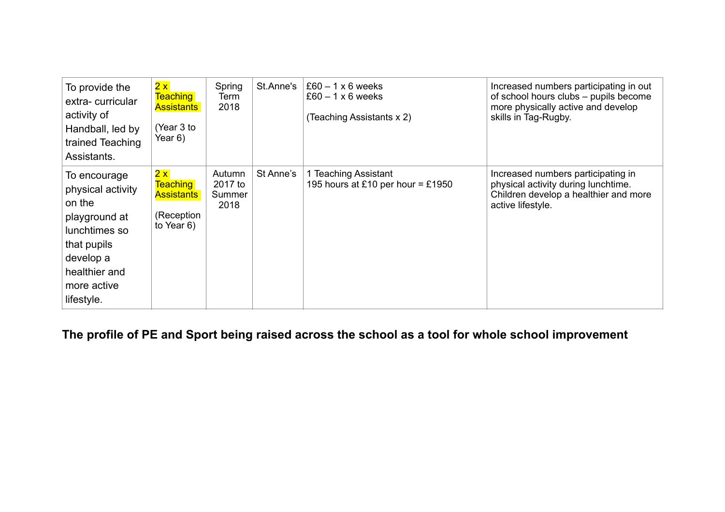| To provide the<br>extra-curricular<br>activity of<br>Handball, led by<br>trained Teaching<br>Assistants.                                                | 2x<br><b>Teaching</b><br><b>Assistants</b><br>(Year 3 to<br>Year 6)       | Spring<br>Term<br>2018              | St.Anne's | $£60 - 1 \times 6$ weeks<br>$£60 - 1 \times 6$ weeks<br>(Teaching Assistants x 2) | Increased numbers participating in out<br>of school hours clubs - pupils become<br>more physically active and develop<br>skills in Tag-Rugby. |
|---------------------------------------------------------------------------------------------------------------------------------------------------------|---------------------------------------------------------------------------|-------------------------------------|-----------|-----------------------------------------------------------------------------------|-----------------------------------------------------------------------------------------------------------------------------------------------|
| To encourage<br>physical activity<br>on the<br>playground at<br>lunchtimes so<br>that pupils<br>develop a<br>healthier and<br>more active<br>lifestyle. | 2x<br><b>Teaching</b><br><b>Assistants</b><br>(Reception<br>to Year $6$ ) | Autumn<br>2017 to<br>Summer<br>2018 | St Anne's | 1 Teaching Assistant<br>195 hours at £10 per hour = £1950                         | Increased numbers participating in<br>physical activity during lunchtime.<br>Children develop a healthier and more<br>active lifestyle.       |

**The profile of PE and Sport being raised across the school as a tool for whole school improvement**